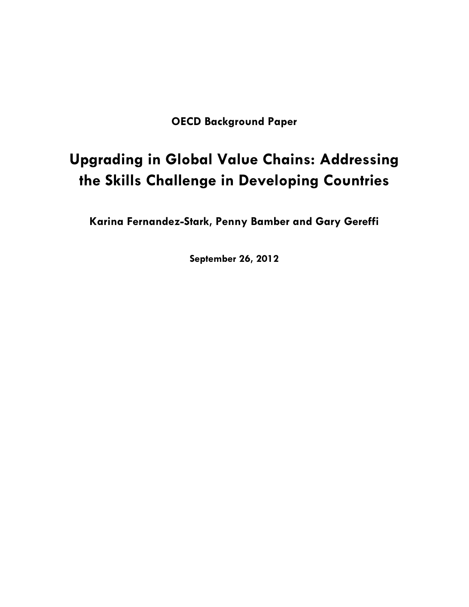**OECD Background Paper** 

# **Upgrading in Global Value Chains: Addressing the Skills Challenge in Developing Countries**

**Karina Fernandez-Stark, Penny Bamber and Gary Gereffi**

**September 26, 2012**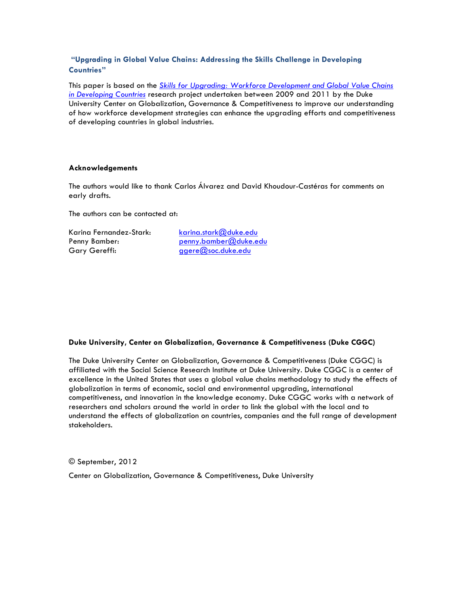# **"Upgrading in Global Value Chains: Addressing the Skills Challenge in Developing Countries"**

This paper is based on the *Skills for Upgrading: Workforce Development and Global Value Chains in Developing Countries* research project undertaken between 2009 and 2011 by the Duke University Center on Globalization, Governance & Competitiveness to improve our understanding of how workforce development strategies can enhance the upgrading efforts and competitiveness of developing countries in global industries.

#### **Acknowledgements**

The authors would like to thank Carlos Álvarez and David Khoudour-Castéras for comments on early drafts.

The authors can be contacted at:

Karina Fernandez-Stark: karina.stark@duke.edu Gary Gereffi: ggere@soc.duke.edu

Penny Bamber: penny.bamber@duke.edu

#### **Duke University, Center on Globalization, Governance & Competitiveness (Duke CGGC)**

The Duke University Center on Globalization, Governance & Competitiveness (Duke CGGC) is affiliated with the Social Science Research Institute at Duke University. Duke CGGC is a center of excellence in the United States that uses a global value chains methodology to study the effects of globalization in terms of economic, social and environmental upgrading, international competitiveness, and innovation in the knowledge economy. Duke CGGC works with a network of researchers and scholars around the world in order to link the global with the local and to understand the effects of globalization on countries, companies and the full range of development stakeholders.

#### © September, 2012

Center on Globalization, Governance & Competitiveness, Duke University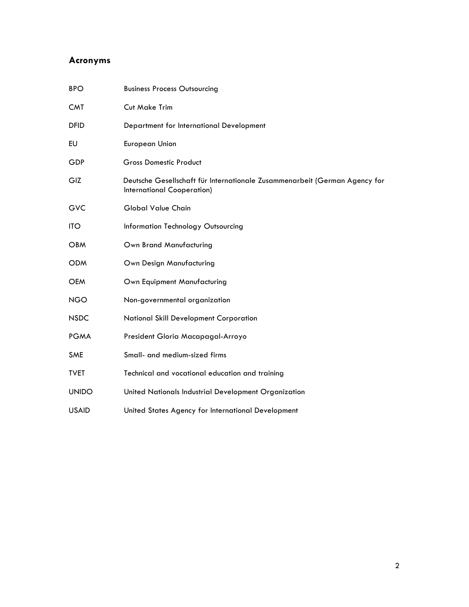# **Acronyms**

| <b>Business Process Outsourcing</b>                                                                      |
|----------------------------------------------------------------------------------------------------------|
| Cut Make Trim                                                                                            |
| Department for International Development                                                                 |
| <b>European Union</b>                                                                                    |
| <b>Gross Domestic Product</b>                                                                            |
| Deutsche Gesellschaft für Internationale Zusammenarbeit (German Agency for<br>International Cooperation) |
| Global Value Chain                                                                                       |
| Information Technology Outsourcing                                                                       |
| Own Brand Manufacturing                                                                                  |
| Own Design Manufacturing                                                                                 |
| Own Equipment Manufacturing                                                                              |
| Non-governmental organization                                                                            |
| National Skill Development Corporation                                                                   |
| President Gloria Macapagal-Arroyo                                                                        |
| Small- and medium-sized firms                                                                            |
| Technical and vocational education and training                                                          |
| United Nationals Industrial Development Organization                                                     |
| United States Agency for International Development                                                       |
|                                                                                                          |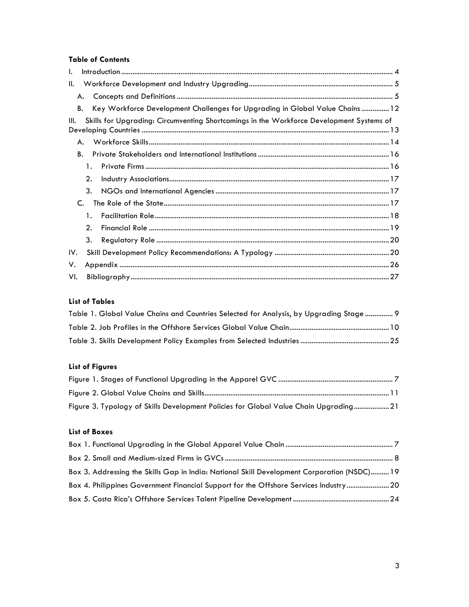# **Table of Contents**

| I.  |    |                                                                                          |
|-----|----|------------------------------------------------------------------------------------------|
| Ш.  |    |                                                                                          |
|     | А. |                                                                                          |
|     | В. | Key Workforce Development Challenges for Upgrading in Global Value Chains  12            |
| Ш.  |    | Skills for Upgrading: Circumventing Shortcomings in the Workforce Development Systems of |
|     | А. |                                                                                          |
|     | В. |                                                                                          |
|     | 1. |                                                                                          |
|     | 2. |                                                                                          |
|     | 3. |                                                                                          |
|     | C. |                                                                                          |
|     | 1. |                                                                                          |
|     | 2. |                                                                                          |
|     | 3. |                                                                                          |
| IV. |    |                                                                                          |
| ٧.  |    |                                                                                          |
| VI. |    |                                                                                          |

# **List of Tables**

| Table 1. Global Value Chains and Countries Selected for Analysis, by Upgrading Stage  9 |  |
|-----------------------------------------------------------------------------------------|--|
|                                                                                         |  |
|                                                                                         |  |

# **List of Figures**

| Figure 3. Typology of Skills Development Policies for Global Value Chain Upgrading 21 |
|---------------------------------------------------------------------------------------|

# **List of Boxes**

| Box 3. Addressing the Skills Gap in India: National Skill Development Corporation (NSDC) 19 |  |
|---------------------------------------------------------------------------------------------|--|
| Box 4. Philippines Government Financial Support for the Offshore Services Industry20        |  |
|                                                                                             |  |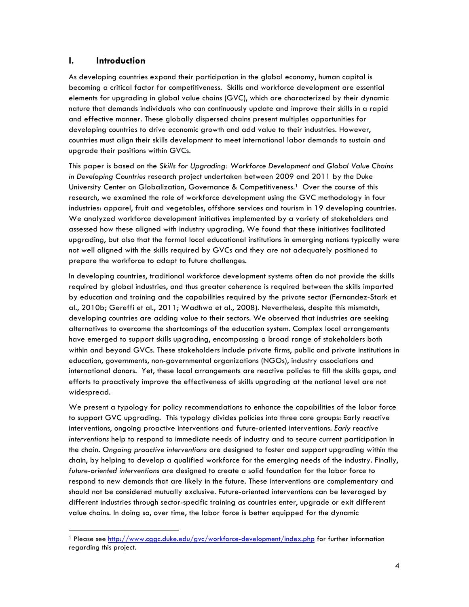## **I. Introduction**

As developing countries expand their participation in the global economy, human capital is becoming a critical factor for competitiveness. Skills and workforce development are essential elements for upgrading in global value chains (GVC), which are characterized by their dynamic nature that demands individuals who can continuously update and improve their skills in a rapid and effective manner. These globally dispersed chains present multiples opportunities for developing countries to drive economic growth and add value to their industries. However, countries must align their skills development to meet international labor demands to sustain and upgrade their positions within GVCs.

This paper is based on the *Skills for Upgrading: Workforce Development and Global Value Chains in Developing Countries* research project undertaken between 2009 and 2011 by the Duke University Center on Globalization, Governance & Competitiveness.<sup>1</sup> Over the course of this research, we examined the role of workforce development using the GVC methodology in four industries: apparel, fruit and vegetables, offshore services and tourism in 19 developing countries. We analyzed workforce development initiatives implemented by a variety of stakeholders and assessed how these aligned with industry upgrading. We found that these initiatives facilitated upgrading, but also that the formal local educational institutions in emerging nations typically were not well aligned with the skills required by GVCs and they are not adequately positioned to prepare the workforce to adapt to future challenges.

In developing countries, traditional workforce development systems often do not provide the skills required by global industries, and thus greater coherence is required between the skills imparted by education and training and the capabilities required by the private sector (Fernandez-Stark et al., 2010b; Gereffi et al., 2011; Wadhwa et al., 2008). Nevertheless, despite this mismatch, developing countries are adding value to their sectors. We observed that industries are seeking alternatives to overcome the shortcomings of the education system. Complex local arrangements have emerged to support skills upgrading, encompassing a broad range of stakeholders both within and beyond GVCs. These stakeholders include private firms, public and private institutions in education, governments, non-governmental organizations (NGOs), industry associations and international donors. Yet, these local arrangements are reactive policies to fill the skills gaps, and efforts to proactively improve the effectiveness of skills upgrading at the national level are not widespread.

We present a typology for policy recommendations to enhance the capabilities of the labor force to support GVC upgrading. This typology divides policies into three core groups: Early reactive interventions, ongoing proactive interventions and future-oriented interventions. *Early reactive interventions* help to respond to immediate needs of industry and to secure current participation in the chain. *Ongoing proactive interventions* are designed to foster and support upgrading within the chain, by helping to develop a qualified workforce for the emerging needs of the industry. Finally, *future-oriented interventions* are designed to create a solid foundation for the labor force to respond to new demands that are likely in the future. These interventions are complementary and should not be considered mutually exclusive. Future-oriented interventions can be leveraged by different industries through sector-specific training as countries enter, upgrade or exit different value chains. In doing so, over time, the labor force is better equipped for the dynamic

<sup>&</sup>lt;sup>1</sup> Please see http://www.cggc.duke.edu/gvc/workforce-development/index.php for further information regarding this project.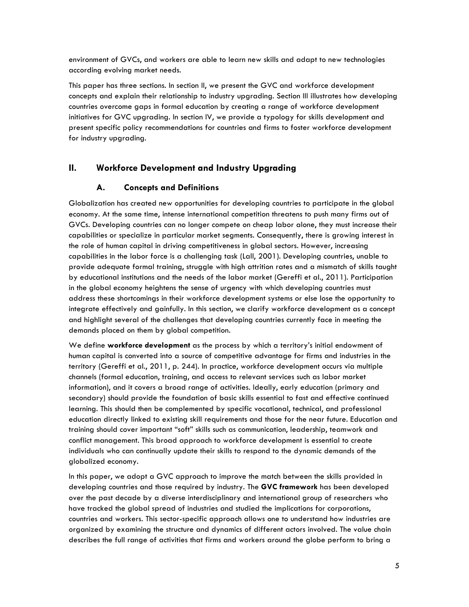environment of GVCs, and workers are able to learn new skills and adapt to new technologies according evolving market needs.

This paper has three sections. In section II, we present the GVC and workforce development concepts and explain their relationship to industry upgrading. Section III illustrates how developing countries overcome gaps in formal education by creating a range of workforce development initiatives for GVC upgrading. In section IV, we provide a typology for skills development and present specific policy recommendations for countries and firms to foster workforce development for industry upgrading.

# **II. Workforce Development and Industry Upgrading**

# **A. Concepts and Definitions**

Globalization has created new opportunities for developing countries to participate in the global economy. At the same time, intense international competition threatens to push many firms out of GVCs. Developing countries can no longer compete on cheap labor alone, they must increase their capabilities or specialize in particular market segments. Consequently, there is growing interest in the role of human capital in driving competitiveness in global sectors. However, increasing capabilities in the labor force is a challenging task (Lall, 2001). Developing countries, unable to provide adequate formal training, struggle with high attrition rates and a mismatch of skills taught by educational institutions and the needs of the labor market (Gereffi et al., 2011). Participation in the global economy heightens the sense of urgency with which developing countries must address these shortcomings in their workforce development systems or else lose the opportunity to integrate effectively and gainfully. In this section, we clarify workforce development as a concept and highlight several of the challenges that developing countries currently face in meeting the demands placed on them by global competition.

We define **workforce development** as the process by which a territory's initial endowment of human capital is converted into a source of competitive advantage for firms and industries in the territory (Gereffi et al., 2011, p. 244). In practice, workforce development occurs via multiple channels (formal education, training, and access to relevant services such as labor market information), and it covers a broad range of activities. Ideally, early education (primary and secondary) should provide the foundation of basic skills essential to fast and effective continued learning. This should then be complemented by specific vocational, technical, and professional education directly linked to existing skill requirements and those for the near future. Education and training should cover important "soft" skills such as communication, leadership, teamwork and conflict management. This broad approach to workforce development is essential to create individuals who can continually update their skills to respond to the dynamic demands of the globalized economy.

In this paper, we adopt a GVC approach to improve the match between the skills provided in developing countries and those required by industry. The **GVC framework** has been developed over the past decade by a diverse interdisciplinary and international group of researchers who have tracked the global spread of industries and studied the implications for corporations, countries and workers. This sector-specific approach allows one to understand how industries are organized by examining the structure and dynamics of different actors involved. The value chain describes the full range of activities that firms and workers around the globe perform to bring a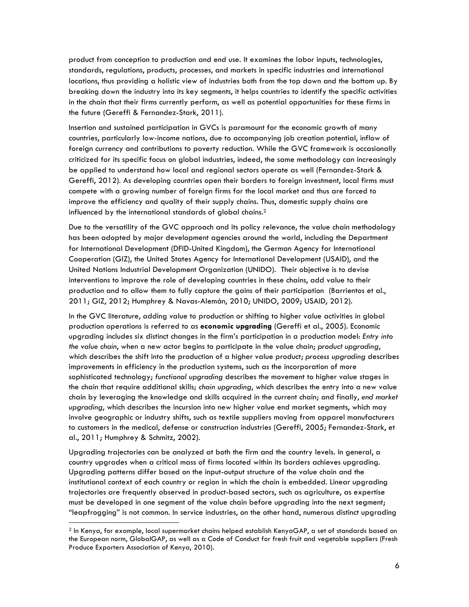product from conception to production and end use. It examines the labor inputs, technologies, standards, regulations, products, processes, and markets in specific industries and international locations, thus providing a holistic view of industries both from the top down and the bottom up. By breaking down the industry into its key segments, it helps countries to identify the specific activities in the chain that their firms currently perform, as well as potential opportunities for these firms in the future (Gereffi & Fernandez-Stark, 2011).

Insertion and sustained participation in GVCs is paramount for the economic growth of many countries, particularly low-income nations, due to accompanying job creation potential, inflow of foreign currency and contributions to poverty reduction. While the GVC framework is occasionally criticized for its specific focus on global industries, indeed, the same methodology can increasingly be applied to understand how local and regional sectors operate as well (Fernandez-Stark & Gereffi, 2012). As developing countries open their borders to foreign investment, local firms must compete with a growing number of foreign firms for the local market and thus are forced to improve the efficiency and quality of their supply chains. Thus, domestic supply chains are influenced by the international standards of global chains.2

Due to the versatility of the GVC approach and its policy relevance, the value chain methodology has been adopted by major development agencies around the world, including the Department for International Development (DFID-United Kingdom), the German Agency for International Cooperation (GIZ), the United States Agency for International Development (USAID), and the United Nations Industrial Development Organization (UNIDO). Their objective is to devise interventions to improve the role of developing countries in these chains, add value to their production and to allow them to fully capture the gains of their participation (Barrientos et al., 2011; GIZ, 2012; Humphrey & Navas-Alemán, 2010; UNIDO, 2009; USAID, 2012).

In the GVC literature, adding value to production or shifting to higher value activities in global production operations is referred to as **economic upgrading** (Gereffi et al., 2005). Economic upgrading includes six distinct changes in the firm's participation in a production model: *Entry into the value chain*, when a new actor begins to participate in the value chain; *product upgrading*, which describes the shift into the production of a higher value product; *process upgrading* describes improvements in efficiency in the production systems, such as the incorporation of more sophisticated technology; *functional upgrading* describes the movement to higher value stages in the chain that require additional skills; *chain upgrading*, which describes the entry into a new value chain by leveraging the knowledge and skills acquired in the current chain; and finally, *end market upgrading*, which describes the incursion into new higher value end market segments, which may involve geographic or industry shifts, such as textile suppliers moving from apparel manufacturers to customers in the medical, defense or construction industries (Gereffi, 2005; Fernandez-Stark, et al., 2011; Humphrey & Schmitz, 2002).

Upgrading trajectories can be analyzed at both the firm and the country levels. In general, a country upgrades when a critical mass of firms located within its borders achieves upgrading. Upgrading patterns differ based on the input-output structure of the value chain and the institutional context of each country or region in which the chain is embedded. Linear upgrading trajectories are frequently observed in product-based sectors, such as agriculture, as expertise must be developed in one segment of the value chain before upgrading into the next segment; "leapfrogging" is not common. In service industries, on the other hand, numerous distinct upgrading

 <sup>2</sup> In Kenya, for example, local supermarket chains helped establish KenyaGAP, a set of standards based on the European norm, GlobalGAP, as well as a Code of Conduct for fresh fruit and vegetable suppliers (Fresh Produce Exporters Association of Kenya, 2010).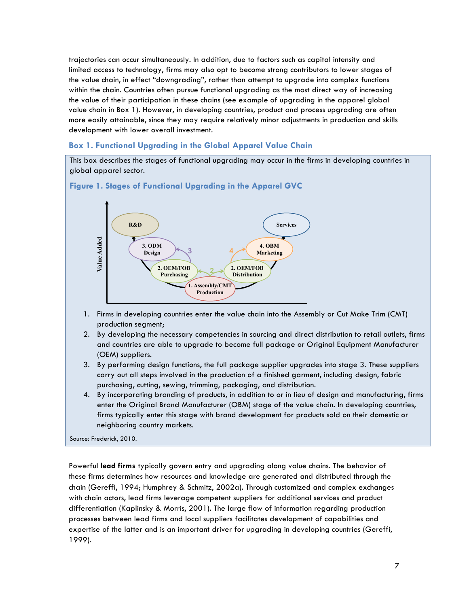trajectories can occur simultaneously. In addition, due to factors such as capital intensity and limited access to technology, firms may also opt to become strong contributors to lower stages of the value chain, in effect "downgrading", rather than attempt to upgrade into complex functions within the chain. Countries often pursue functional upgrading as the most direct way of increasing the value of their participation in these chains (see example of upgrading in the apparel global value chain in Box 1). However, in developing countries, product and process upgrading are often more easily attainable, since they may require relatively minor adjustments in production and skills development with lower overall investment.

# **Box 1. Functional Upgrading in the Global Apparel Value Chain**

This box describes the stages of functional upgrading may occur in the firms in developing countries in global apparel sector.

## **Figure 1. Stages of Functional Upgrading in the Apparel GVC**



- 1. Firms in developing countries enter the value chain into the Assembly or Cut Make Trim (CMT) production segment;
- 2. By developing the necessary competencies in sourcing and direct distribution to retail outlets, firms and countries are able to upgrade to become full package or Original Equipment Manufacturer (OEM) suppliers.
- 3. By performing design functions, the full package supplier upgrades into stage 3. These suppliers carry out all steps involved in the production of a finished garment, including design, fabric purchasing, cutting, sewing, trimming, packaging, and distribution.
- 4. By incorporating branding of products, in addition to or in lieu of design and manufacturing, firms enter the Original Brand Manufacturer (OBM) stage of the value chain. In developing countries, firms typically enter this stage with brand development for products sold on their domestic or neighboring country markets.

#### Source: Frederick, 2010.

Powerful **lead firms** typically govern entry and upgrading along value chains. The behavior of these firms determines how resources and knowledge are generated and distributed through the chain (Gereffi, 1994; Humphrey & Schmitz, 2002a). Through customized and complex exchanges with chain actors, lead firms leverage competent suppliers for additional services and product differentiation (Kaplinsky & Morris, 2001). The large flow of information regarding production processes between lead firms and local suppliers facilitates development of capabilities and expertise of the latter and is an important driver for upgrading in developing countries (Gereffi, 1999).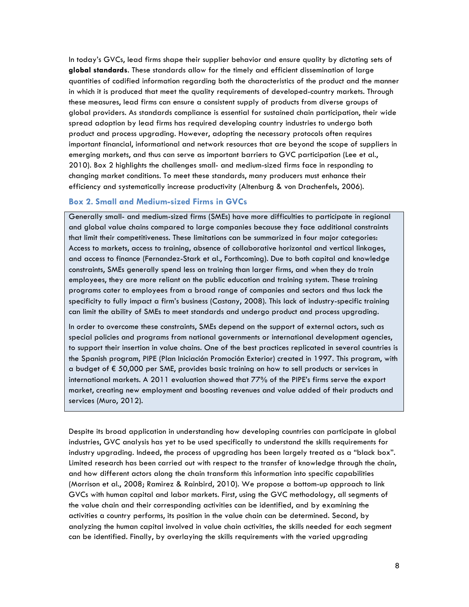In today's GVCs, lead firms shape their supplier behavior and ensure quality by dictating sets of **global standards**. These standards allow for the timely and efficient dissemination of large quantities of codified information regarding both the characteristics of the product and the manner in which it is produced that meet the quality requirements of developed-country markets. Through these measures, lead firms can ensure a consistent supply of products from diverse groups of global providers. As standards compliance is essential for sustained chain participation, their wide spread adoption by lead firms has required developing country industries to undergo both product and process upgrading. However, adopting the necessary protocols often requires important financial, informational and network resources that are beyond the scope of suppliers in emerging markets, and thus can serve as important barriers to GVC participation (Lee et al., 2010). Box 2 highlights the challenges small- and medium-sized firms face in responding to changing market conditions. To meet these standards, many producers must enhance their efficiency and systematically increase productivity (Altenburg & von Drachenfels, 2006).

# **Box 2. Small and Medium-sized Firms in GVCs**

Generally small- and medium-sized firms (SMEs) have more difficulties to participate in regional and global value chains compared to large companies because they face additional constraints that limit their competitiveness. These limitations can be summarized in four major categories: Access to markets, access to training, absence of collaborative horizontal and vertical linkages, and access to finance (Fernandez-Stark et al., Forthcoming). Due to both capital and knowledge constraints, SMEs generally spend less on training than larger firms, and when they do train employees, they are more reliant on the public education and training system. These training programs cater to employees from a broad range of companies and sectors and thus lack the specificity to fully impact a firm's business (Castany, 2008). This lack of industry-specific training can limit the ability of SMEs to meet standards and undergo product and process upgrading.

In order to overcome these constraints, SMEs depend on the support of external actors, such as special policies and programs from national governments or international development agencies, to support their insertion in value chains. One of the best practices replicated in several countries is the Spanish program, PIPE (Plan Iniciación Promoción Exterior) created in 1997. This program, with a budget of € 50,000 per SME, provides basic training on how to sell products or services in international markets. A 2011 evaluation showed that 77% of the PIPE's firms serve the export market, creating new employment and boosting revenues and value added of their products and services (Muro, 2012).

Despite its broad application in understanding how developing countries can participate in global industries, GVC analysis has yet to be used specifically to understand the skills requirements for industry upgrading. Indeed, the process of upgrading has been largely treated as a "black box". Limited research has been carried out with respect to the transfer of knowledge through the chain, and how different actors along the chain transform this information into specific capabilities (Morrison et al., 2008; Ramirez & Rainbird, 2010). We propose a bottom-up approach to link GVCs with human capital and labor markets. First, using the GVC methodology, all segments of the value chain and their corresponding activities can be identified, and by examining the activities a country performs, its position in the value chain can be determined. Second, by analyzing the human capital involved in value chain activities, the skills needed for each segment can be identified. Finally, by overlaying the skills requirements with the varied upgrading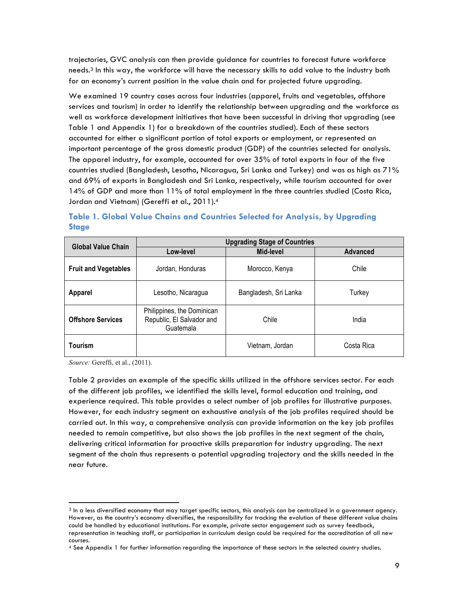trajectories, GVC analysis can then provide guidance for countries to forecast future workforce needs.3 In this way, the workforce will have the necessary skills to add value to the industry both for an economy's current position in the value chain and for projected future upgrading.

We examined 19 country cases across four industries (apparel, fruits and vegetables, offshore services and tourism) in order to identify the relationship between upgrading and the workforce as well as workforce development initiatives that have been successful in driving that upgrading (see Table 1 and Appendix 1) for a breakdown of the countries studied). Each of these sectors accounted for either a significant portion of total exports or employment, or represented an important percentage of the gross domestic product (GDP) of the countries selected for analysis. The apparel industry, for example, accounted for over 35% of total exports in four of the five countries studied (Bangladesh, Lesotho, Nicaragua, Sri Lanka and Turkey) and was as high as 71% and 69% of exports in Bangladesh and Sri Lanka, respectively, while tourism accounted for over 14% of GDP and more than 11% of total employment in the three countries studied (Costa Rica, Jordan and Vietnam) (Gereffi et al., 2011). 4

|              |  |  |  |                              |  | Table 1. Global Value Chains and Countries Selected for Analysis, by Upgrading |  |
|--------------|--|--|--|------------------------------|--|--------------------------------------------------------------------------------|--|
| <b>Stage</b> |  |  |  |                              |  |                                                                                |  |
|              |  |  |  |                              |  |                                                                                |  |
|              |  |  |  | Unaradina Ctogo of Countries |  |                                                                                |  |

| <b>Global Value Chain</b>   | <b>Upgrading Stage of Countries</b>                                  |                       |                 |  |  |  |  |
|-----------------------------|----------------------------------------------------------------------|-----------------------|-----------------|--|--|--|--|
|                             | Mid-level<br>Low-level                                               |                       | <b>Advanced</b> |  |  |  |  |
| <b>Fruit and Vegetables</b> | Jordan, Honduras                                                     | Morocco, Kenya        | Chile           |  |  |  |  |
| <b>Apparel</b>              | Lesotho, Nicaragua                                                   | Bangladesh, Sri Lanka | Turkey          |  |  |  |  |
| <b>Offshore Services</b>    | Philippines, the Dominican<br>Republic, El Salvador and<br>Guatemala | Chile                 | India           |  |  |  |  |
| <b>Tourism</b>              |                                                                      | Vietnam, Jordan       | Costa Rica      |  |  |  |  |

*Source:* Gereffi, et al., (2011).

Table 2 provides an example of the specific skills utilized in the offshore services sector. For each of the different job profiles, we identified the skills level, formal education and training, and experience required. This table provides a select number of job profiles for illustrative purposes. However, for each industry segment an exhaustive analysis of the job profiles required should be carried out. In this way, a comprehensive analysis can provide information on the key job profiles needed to remain competitive, but also shows the job profiles in the next segment of the chain, delivering critical information for proactive skills preparation for industry upgrading. The next segment of the chain thus represents a potential upgrading trajectory and the skills needed in the near future.

 <sup>3</sup> In a less diversified economy that may target specific sectors, this analysis can be centralized in a government agency. However, as the country's economy diversifies, the responsibility for tracking the evolution of these different value chains could be handled by educational institutions. For example, private sector engagement such as survey feedback, representation in teaching staff, or participation in curriculum design could be required for the accreditation of all new courses.

<sup>4</sup> See Appendix 1 for further information regarding the importance of these sectors in the selected country studies.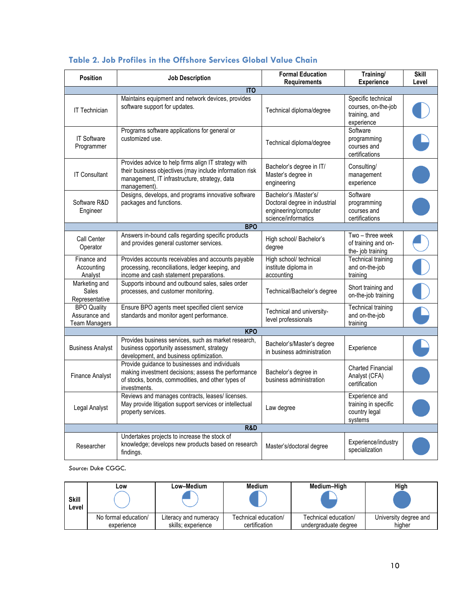| <b>Position</b>                                             | <b>Job Description</b>                                                                                                                                                           | <b>Formal Education</b><br><b>Requirements</b>                                                        | Training/<br><b>Experience</b>                                           | <b>Skill</b><br>Level |
|-------------------------------------------------------------|----------------------------------------------------------------------------------------------------------------------------------------------------------------------------------|-------------------------------------------------------------------------------------------------------|--------------------------------------------------------------------------|-----------------------|
|                                                             | <b>ITO</b>                                                                                                                                                                       |                                                                                                       |                                                                          |                       |
| <b>IT Technician</b>                                        | Maintains equipment and network devices, provides<br>software support for updates.                                                                                               | Technical diploma/degree                                                                              | Specific technical<br>courses, on-the-job<br>training, and<br>experience |                       |
| <b>IT Software</b><br>Programmer                            | Programs software applications for general or<br>customized use.                                                                                                                 | Technical diploma/degree                                                                              | Software<br>programming<br>courses and<br>certifications                 |                       |
| <b>IT Consultant</b>                                        | Provides advice to help firms align IT strategy with<br>their business objectives (may include information risk<br>management, IT infrastructure, strategy, data<br>management). | Bachelor's degree in IT/<br>Master's degree in<br>engineering                                         | Consulting/<br>management<br>experience                                  |                       |
| Software R&D<br>Engineer                                    | Designs, develops, and programs innovative software<br>packages and functions.                                                                                                   | Bachelor's /Master's/<br>Doctoral degree in industrial<br>engineering/computer<br>science/informatics | Software<br>programming<br>courses and<br>certifications                 |                       |
|                                                             | <b>BPO</b>                                                                                                                                                                       |                                                                                                       |                                                                          |                       |
| Call Center<br>Operator                                     | Answers in-bound calls regarding specific products<br>and provides general customer services.                                                                                    | High school/ Bachelor's<br>degree                                                                     | Two - three week<br>of training and on-<br>the-job training              |                       |
| Finance and<br>Accounting<br>Analyst                        | Provides accounts receivables and accounts payable<br>processing, reconciliations, ledger keeping, and<br>income and cash statement preparations.                                | High school/ technical<br>institute diploma in<br>accounting                                          | Technical training<br>and on-the-job<br>training                         |                       |
| Marketing and<br>Sales<br>Representative                    | Supports inbound and outbound sales, sales order<br>processes, and customer monitoring.                                                                                          | Technical/Bachelor's degree                                                                           | Short training and<br>on-the-job training                                |                       |
| <b>BPO Quality</b><br>Assurance and<br><b>Team Managers</b> | Ensure BPO agents meet specified client service<br>standards and monitor agent performance.                                                                                      | Technical and university-<br>level professionals                                                      | <b>Technical training</b><br>and on-the-job<br>training                  |                       |
|                                                             | <b>KPO</b>                                                                                                                                                                       |                                                                                                       |                                                                          |                       |
| <b>Business Analyst</b>                                     | Provides business services, such as market research,<br>business opportunity assessment, strategy<br>development, and business optimization.                                     | Bachelor's/Master's degree<br>in business administration                                              | Experience                                                               |                       |
| <b>Finance Analyst</b>                                      | Provide guidance to businesses and individuals<br>making investment decisions; assess the performance<br>of stocks, bonds, commodities, and other types of<br>investments.       | Bachelor's degree in<br>business administration                                                       | <b>Charted Financial</b><br>Analyst (CFA)<br>certification               |                       |
| Legal Analyst                                               | Reviews and manages contracts, leases/licenses.<br>May provide litigation support services or intellectual<br>property services.                                                 | Law degree                                                                                            | Experience and<br>training in specific<br>country legal<br>systems       |                       |
|                                                             | <b>R&amp;D</b>                                                                                                                                                                   |                                                                                                       |                                                                          |                       |
| Researcher                                                  | Undertakes projects to increase the stock of<br>knowledge; develops new products based on research<br>findings.                                                                  | Master's/doctoral degree                                                                              | Experience/industry<br>specialization                                    |                       |

# **Table 2. Job Profiles in the Offshore Services Global Value Chain**

*Source*: Duke CGGC.

|                       | LOW                                | Low–Medium                                  | Medium                                | Medium-High                                  | High                            |
|-----------------------|------------------------------------|---------------------------------------------|---------------------------------------|----------------------------------------------|---------------------------------|
| <b>Skill</b><br>Level |                                    |                                             |                                       |                                              |                                 |
|                       | No formal education/<br>experience | Literacy and numeracy<br>skills: experience | Technical education/<br>certification | Technical education/<br>undergraduate degree | University degree and<br>hiaher |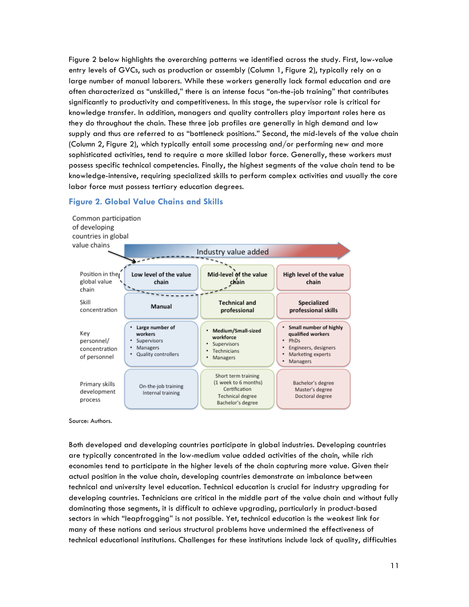Figure 2 below highlights the overarching patterns we identified across the study. First, low-value entry levels of GVCs, such as production or assembly (Column 1, Figure 2), typically rely on a large number of manual laborers. While these workers generally lack formal education and are often characterized as "unskilled," there is an intense focus "on-the-job training" that contributes significantly to productivity and competitiveness. In this stage, the supervisor role is critical for knowledge transfer. In addition, managers and quality controllers play important roles here as they do throughout the chain. These three job profiles are generally in high demand and low supply and thus are referred to as "bottleneck positions." Second, the mid-levels of the value chain (Column 2, Figure 2), which typically entail some processing and/or performing new and more sophisticated activities, tend to require a more skilled labor force. Generally, these workers must possess specific technical competencies. Finally, the highest segments of the value chain tend to be knowledge-intensive, requiring specialized skills to perform complex activities and usually the core labor force must possess tertiary education degrees.

#### Common participation of developing countries in global value chains Industry value added  $\overline{\phantom{a}}$ Position in the Mid-level of the value High level of the value Low level of the value global value chain chain chain chain Skill **Technical and** Specialized Manual concentration professional professional skills Large number of Small number of highly Medium/Small-sized Key workers qualified workers workforce personnel/ • Supervisors PhDs Supervisors Managers Engineers, designers concentration Technicians Quality controllers . Marketing experts of personnel . Managers · Managers Short term training (1 week to 6 months) Bachelor's degree Primary skills On-the-job training Certification Master's degree development Internal training **Technical degree** Doctoral degree process Bachelor's degree

## **Figure 2. Global Value Chains and Skills**

Source: Authors.

Both developed and developing countries participate in global industries. Developing countries are typically concentrated in the low-medium value added activities of the chain, while rich economies tend to participate in the higher levels of the chain capturing more value. Given their actual position in the value chain, developing countries demonstrate an imbalance between technical and university level education. Technical education is crucial for industry upgrading for developing countries. Technicians are critical in the middle part of the value chain and without fully dominating those segments, it is difficult to achieve upgrading, particularly in product-based sectors in which "leapfrogging" is not possible. Yet, technical education is the weakest link for many of these nations and serious structural problems have undermined the effectiveness of technical educational institutions. Challenges for these institutions include lack of quality, difficulties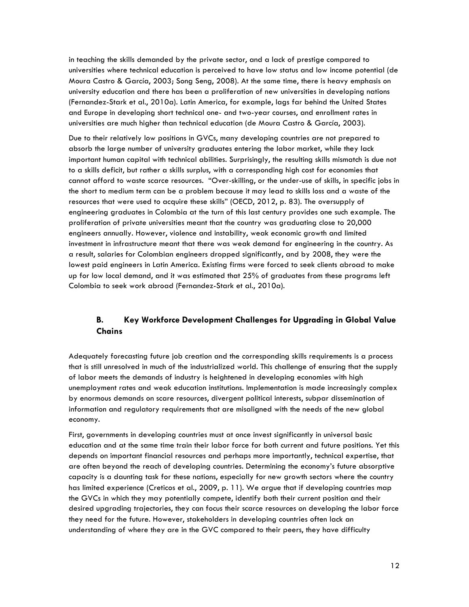in teaching the skills demanded by the private sector, and a lack of prestige compared to universities where technical education is perceived to have low status and low income potential (de Moura Castro & García, 2003; Song Seng, 2008). At the same time, there is heavy emphasis on university education and there has been a proliferation of new universities in developing nations (Fernandez-Stark et al., 2010a). Latin America, for example, lags far behind the United States and Europe in developing short technical one- and two-year courses, and enrollment rates in universities are much higher than technical education (de Moura Castro & García, 2003).

Due to their relatively low positions in GVCs, many developing countries are not prepared to absorb the large number of university graduates entering the labor market, while they lack important human capital with technical abilities. Surprisingly, the resulting skills mismatch is due not to a skills deficit, but rather a skills surplus, with a corresponding high cost for economies that cannot afford to waste scarce resources. "Over-skilling, or the under-use of skills, in specific jobs in the short to medium term can be a problem because it may lead to skills loss and a waste of the resources that were used to acquire these skills" (OECD, 2012, p. 83). The oversupply of engineering graduates in Colombia at the turn of this last century provides one such example. The proliferation of private universities meant that the country was graduating close to 20,000 engineers annually. However, violence and instability, weak economic growth and limited investment in infrastructure meant that there was weak demand for engineering in the country. As a result, salaries for Colombian engineers dropped significantly, and by 2008, they were the lowest paid engineers in Latin America. Existing firms were forced to seek clients abroad to make up for low local demand, and it was estimated that 25% of graduates from these programs left Colombia to seek work abroad (Fernandez-Stark et al., 2010a).

# **B. Key Workforce Development Challenges for Upgrading in Global Value Chains**

Adequately forecasting future job creation and the corresponding skills requirements is a process that is still unresolved in much of the industrialized world. This challenge of ensuring that the supply of labor meets the demands of industry is heightened in developing economies with high unemployment rates and weak education institutions. Implementation is made increasingly complex by enormous demands on scare resources, divergent political interests, subpar dissemination of information and regulatory requirements that are misaligned with the needs of the new global economy.

First, governments in developing countries must at once invest significantly in universal basic education and at the same time train their labor force for both current and future positions. Yet this depends on important financial resources and perhaps more importantly, technical expertise, that are often beyond the reach of developing countries. Determining the economy's future absorptive capacity is a daunting task for these nations, especially for new growth sectors where the country has limited experience (Creticos et al., 2009, p. 11). We argue that if developing countries map the GVCs in which they may potentially compete, identify both their current position and their desired upgrading trajectories, they can focus their scarce resources on developing the labor force they need for the future. However, stakeholders in developing countries often lack an understanding of where they are in the GVC compared to their peers, they have difficulty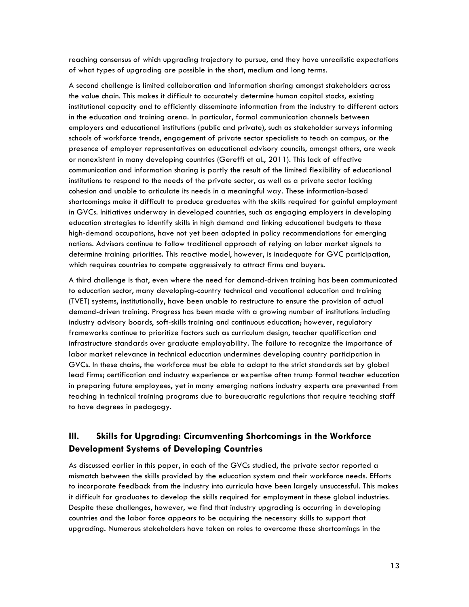reaching consensus of which upgrading trajectory to pursue, and they have unrealistic expectations of what types of upgrading are possible in the short, medium and long terms.

A second challenge is limited collaboration and information sharing amongst stakeholders across the value chain. This makes it difficult to accurately determine human capital stocks, existing institutional capacity and to efficiently disseminate information from the industry to different actors in the education and training arena. In particular, formal communication channels between employers and educational institutions (public and private), such as stakeholder surveys informing schools of workforce trends, engagement of private sector specialists to teach on campus, or the presence of employer representatives on educational advisory councils, amongst others, are weak or nonexistent in many developing countries (Gereffi et al., 2011). This lack of effective communication and information sharing is partly the result of the limited flexibility of educational institutions to respond to the needs of the private sector, as well as a private sector lacking cohesion and unable to articulate its needs in a meaningful way. These information-based shortcomings make it difficult to produce graduates with the skills required for gainful employment in GVCs. Initiatives underway in developed countries, such as engaging employers in developing education strategies to identify skills in high demand and linking educational budgets to these high-demand occupations, have not yet been adopted in policy recommendations for emerging nations. Advisors continue to follow traditional approach of relying on labor market signals to determine training priorities. This reactive model, however, is inadequate for GVC participation, which requires countries to compete aggressively to attract firms and buyers.

A third challenge is that, even where the need for demand-driven training has been communicated to education sector, many developing-country technical and vocational education and training (TVET) systems, institutionally, have been unable to restructure to ensure the provision of actual demand-driven training. Progress has been made with a growing number of institutions including industry advisory boards, soft-skills training and continuous education; however, regulatory frameworks continue to prioritize factors such as curriculum design, teacher qualification and infrastructure standards over graduate employability. The failure to recognize the importance of labor market relevance in technical education undermines developing country participation in GVCs. In these chains, the workforce must be able to adapt to the strict standards set by global lead firms; certification and industry experience or expertise often trump formal teacher education in preparing future employees, yet in many emerging nations industry experts are prevented from teaching in technical training programs due to bureaucratic regulations that require teaching staff to have degrees in pedagogy.

# **III. Skills for Upgrading: Circumventing Shortcomings in the Workforce Development Systems of Developing Countries**

As discussed earlier in this paper, in each of the GVCs studied, the private sector reported a mismatch between the skills provided by the education system and their workforce needs. Efforts to incorporate feedback from the industry into curricula have been largely unsuccessful. This makes it difficult for graduates to develop the skills required for employment in these global industries. Despite these challenges, however, we find that industry upgrading is occurring in developing countries and the labor force appears to be acquiring the necessary skills to support that upgrading. Numerous stakeholders have taken on roles to overcome these shortcomings in the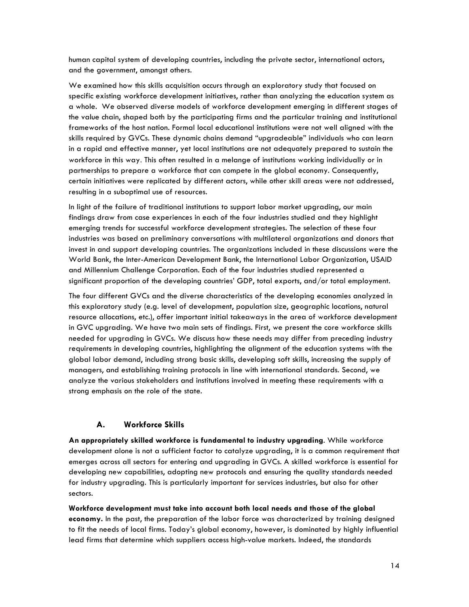human capital system of developing countries, including the private sector, international actors, and the government, amongst others.

We examined how this skills acquisition occurs through an exploratory study that focused on specific existing workforce development initiatives, rather than analyzing the education system as a whole. We observed diverse models of workforce development emerging in different stages of the value chain, shaped both by the participating firms and the particular training and institutional frameworks of the host nation. Formal local educational institutions were not well aligned with the skills required by GVCs. These dynamic chains demand "upgradeable" individuals who can learn in a rapid and effective manner, yet local institutions are not adequately prepared to sustain the workforce in this way. This often resulted in a melange of institutions working individually or in partnerships to prepare a workforce that can compete in the global economy. Consequently, certain initiatives were replicated by different actors, while other skill areas were not addressed, resulting in a suboptimal use of resources.

In light of the failure of traditional institutions to support labor market upgrading, our main findings draw from case experiences in each of the four industries studied and they highlight emerging trends for successful workforce development strategies. The selection of these four industries was based on preliminary conversations with multilateral organizations and donors that invest in and support developing countries. The organizations included in these discussions were the World Bank, the Inter-American Development Bank, the International Labor Organization, USAID and Millennium Challenge Corporation. Each of the four industries studied represented a significant proportion of the developing countries' GDP, total exports, and/or total employment.

The four different GVCs and the diverse characteristics of the developing economies analyzed in this exploratory study (e.g. level of development, population size, geographic locations, natural resource allocations, etc.), offer important initial takeaways in the area of workforce development in GVC upgrading. We have two main sets of findings. First, we present the core workforce skills needed for upgrading in GVCs. We discuss how these needs may differ from preceding industry requirements in developing countries, highlighting the alignment of the education systems with the global labor demand, including strong basic skills, developing soft skills, increasing the supply of managers, and establishing training protocols in line with international standards. Second, we analyze the various stakeholders and institutions involved in meeting these requirements with a strong emphasis on the role of the state.

# **A. Workforce Skills**

**An appropriately skilled workforce is fundamental to industry upgrading**. While workforce development alone is not a sufficient factor to catalyze upgrading, it is a common requirement that emerges across all sectors for entering and upgrading in GVCs. A skilled workforce is essential for developing new capabilities, adopting new protocols and ensuring the quality standards needed for industry upgrading. This is particularly important for services industries, but also for other sectors.

**Workforce development must take into account both local needs and those of the global economy.** In the past, the preparation of the labor force was characterized by training designed to fit the needs of local firms. Today's global economy, however, is dominated by highly influential lead firms that determine which suppliers access high-value markets. Indeed, the standards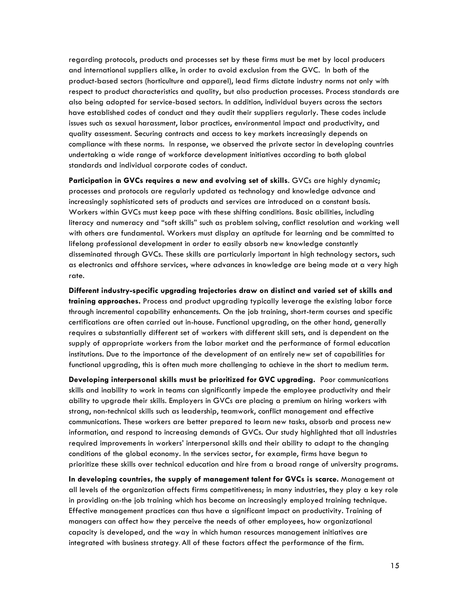regarding protocols, products and processes set by these firms must be met by local producers and international suppliers alike, in order to avoid exclusion from the GVC. In both of the product-based sectors (horticulture and apparel), lead firms dictate industry norms not only with respect to product characteristics and quality, but also production processes. Process standards are also being adopted for service-based sectors. In addition, individual buyers across the sectors have established codes of conduct and they audit their suppliers regularly. These codes include issues such as sexual harassment, labor practices, environmental impact and productivity, and quality assessment. Securing contracts and access to key markets increasingly depends on compliance with these norms. In response, we observed the private sector in developing countries undertaking a wide range of workforce development initiatives according to both global standards and individual corporate codes of conduct.

**Participation in GVCs requires a new and evolving set of skills**. GVCs are highly dynamic; processes and protocols are regularly updated as technology and knowledge advance and increasingly sophisticated sets of products and services are introduced on a constant basis. Workers within GVCs must keep pace with these shifting conditions. Basic abilities, including literacy and numeracy and "soft skills" such as problem solving, conflict resolution and working well with others are fundamental. Workers must display an aptitude for learning and be committed to lifelong professional development in order to easily absorb new knowledge constantly disseminated through GVCs. These skills are particularly important in high technology sectors, such as electronics and offshore services, where advances in knowledge are being made at a very high rate.

**Different industry-specific upgrading trajectories draw on distinct and varied set of skills and training approaches.** Process and product upgrading typically leverage the existing labor force through incremental capability enhancements. On the job training, short-term courses and specific certifications are often carried out in-house. Functional upgrading, on the other hand, generally requires a substantially different set of workers with different skill sets, and is dependent on the supply of appropriate workers from the labor market and the performance of formal education institutions. Due to the importance of the development of an entirely new set of capabilities for functional upgrading, this is often much more challenging to achieve in the short to medium term.

**Developing interpersonal skills must be prioritized for GVC upgrading.** Poor communications skills and inability to work in teams can significantly impede the employee productivity and their ability to upgrade their skills. Employers in GVCs are placing a premium on hiring workers with strong, non-technical skills such as leadership, teamwork, conflict management and effective communications. These workers are better prepared to learn new tasks, absorb and process new information, and respond to increasing demands of GVCs. Our study highlighted that all industries required improvements in workers' interpersonal skills and their ability to adapt to the changing conditions of the global economy. In the services sector, for example, firms have begun to prioritize these skills over technical education and hire from a broad range of university programs.

**In developing countries, the supply of management talent for GVCs is scarce.** Management at all levels of the organization affects firms competitiveness; in many industries, they play a key role in providing on-the job training which has become an increasingly employed training technique. Effective management practices can thus have a significant impact on productivity. Training of managers can affect how they perceive the needs of other employees, how organizational capacity is developed, and the way in which human resources management initiatives are integrated with business strategy. All of these factors affect the performance of the firm.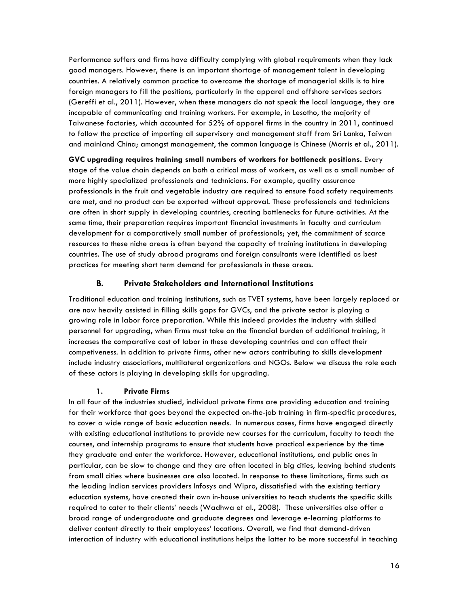Performance suffers and firms have difficulty complying with global requirements when they lack good managers. However, there is an important shortage of management talent in developing countries. A relatively common practice to overcome the shortage of managerial skills is to hire foreign managers to fill the positions, particularly in the apparel and offshore services sectors (Gereffi et al., 2011). However, when these managers do not speak the local language, they are incapable of communicating and training workers. For example, in Lesotho, the majority of Taiwanese factories, which accounted for 52% of apparel firms in the country in 2011, continued to follow the practice of importing all supervisory and management staff from Sri Lanka, Taiwan and mainland China; amongst management, the common language is Chinese (Morris et al., 2011).

**GVC upgrading requires training small numbers of workers for bottleneck positions.** Every stage of the value chain depends on both a critical mass of workers, as well as a small number of more highly specialized professionals and technicians. For example, quality assurance professionals in the fruit and vegetable industry are required to ensure food safety requirements are met, and no product can be exported without approval. These professionals and technicians are often in short supply in developing countries, creating bottlenecks for future activities. At the same time, their preparation requires important financial investments in faculty and curriculum development for a comparatively small number of professionals; yet, the commitment of scarce resources to these niche areas is often beyond the capacity of training institutions in developing countries. The use of study abroad programs and foreign consultants were identified as best practices for meeting short term demand for professionals in these areas.

## **B. Private Stakeholders and International Institutions**

Traditional education and training institutions, such as TVET systems, have been largely replaced or are now heavily assisted in filling skills gaps for GVCs, and the private sector is playing a growing role in labor force preparation. While this indeed provides the industry with skilled personnel for upgrading, when firms must take on the financial burden of additional training, it increases the comparative cost of labor in these developing countries and can affect their competiveness. In addition to private firms, other new actors contributing to skills development include industry associations, multilateral organizations and NGOs. Below we discuss the role each of these actors is playing in developing skills for upgrading.

#### **1. Private Firms**

In all four of the industries studied, individual private firms are providing education and training for their workforce that goes beyond the expected on-the-job training in firm-specific procedures, to cover a wide range of basic education needs. In numerous cases, firms have engaged directly with existing educational institutions to provide new courses for the curriculum, faculty to teach the courses, and internship programs to ensure that students have practical experience by the time they graduate and enter the workforce. However, educational institutions, and public ones in particular, can be slow to change and they are often located in big cities, leaving behind students from small cities where businesses are also located. In response to these limitations, firms such as the leading Indian services providers Infosys and Wipro, dissatisfied with the existing tertiary education systems, have created their own in-house universities to teach students the specific skills required to cater to their clients' needs (Wadhwa et al., 2008). These universities also offer a broad range of undergraduate and graduate degrees and leverage e-learning platforms to deliver content directly to their employees' locations. Overall, we find that demand-driven interaction of industry with educational institutions helps the latter to be more successful in teaching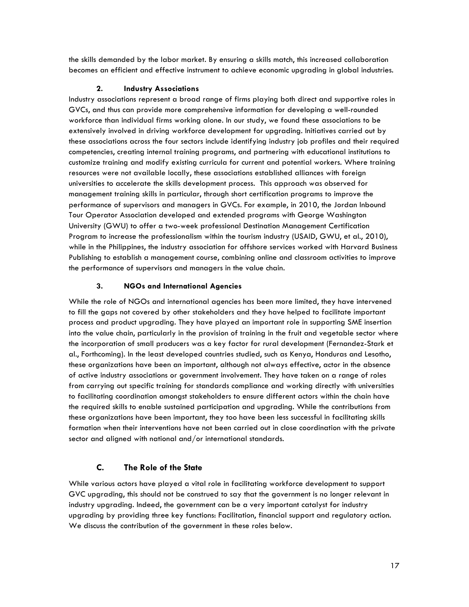the skills demanded by the labor market. By ensuring a skills match, this increased collaboration becomes an efficient and effective instrument to achieve economic upgrading in global industries.

## **2. Industry Associations**

Industry associations represent a broad range of firms playing both direct and supportive roles in GVCs, and thus can provide more comprehensive information for developing a well-rounded workforce than individual firms working alone. In our study, we found these associations to be extensively involved in driving workforce development for upgrading. Initiatives carried out by these associations across the four sectors include identifying industry job profiles and their required competencies, creating internal training programs, and partnering with educational institutions to customize training and modify existing curricula for current and potential workers. Where training resources were not available locally, these associations established alliances with foreign universities to accelerate the skills development process. This approach was observed for management training skills in particular, through short certification programs to improve the performance of supervisors and managers in GVCs. For example, in 2010, the Jordan Inbound Tour Operator Association developed and extended programs with George Washington University (GWU) to offer a two-week professional Destination Management Certification Program to increase the professionalism within the tourism industry (USAID, GWU, et al., 2010), while in the Philippines, the industry association for offshore services worked with Harvard Business Publishing to establish a management course, combining online and classroom activities to improve the performance of supervisors and managers in the value chain.

# **3. NGOs and International Agencies**

While the role of NGOs and international agencies has been more limited, they have intervened to fill the gaps not covered by other stakeholders and they have helped to facilitate important process and product upgrading. They have played an important role in supporting SME insertion into the value chain, particularly in the provision of training in the fruit and vegetable sector where the incorporation of small producers was a key factor for rural development (Fernandez-Stark et al., Forthcoming). In the least developed countries studied, such as Kenya, Honduras and Lesotho, these organizations have been an important, although not always effective, actor in the absence of active industry associations or government involvement. They have taken on a range of roles from carrying out specific training for standards compliance and working directly with universities to facilitating coordination amongst stakeholders to ensure different actors within the chain have the required skills to enable sustained participation and upgrading. While the contributions from these organizations have been important, they too have been less successful in facilitating skills formation when their interventions have not been carried out in close coordination with the private sector and aligned with national and/or international standards.

# **C. The Role of the State**

While various actors have played a vital role in facilitating workforce development to support GVC upgrading, this should not be construed to say that the government is no longer relevant in industry upgrading. Indeed, the government can be a very important catalyst for industry upgrading by providing three key functions: Facilitation, financial support and regulatory action. We discuss the contribution of the government in these roles below.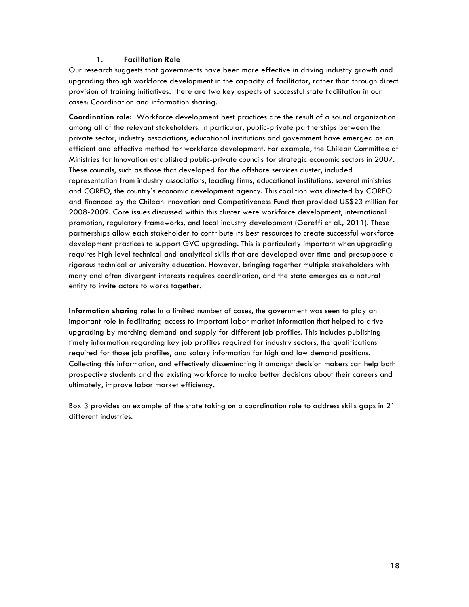#### **1. Facilitation Role**

Our research suggests that governments have been more effective in driving industry growth and upgrading through workforce development in the capacity of facilitator, rather than through direct provision of training initiatives**.** There are two key aspects of successful state facilitation in our cases: Coordination and information sharing.

**Coordination role:** Workforce development best practices are the result of a sound organization among all of the relevant stakeholders. In particular, public-private partnerships between the private sector, industry associations, educational institutions and government have emerged as an efficient and effective method for workforce development. For example, the Chilean Committee of Ministries for Innovation established public-private councils for strategic economic sectors in 2007. These councils, such as those that developed for the offshore services cluster, included representation from industry associations, leading firms, educational institutions, several ministries and CORFO, the country's economic development agency. This coalition was directed by CORFO and financed by the Chilean Innovation and Competitiveness Fund that provided US\$23 million for 2008-2009. Core issues discussed within this cluster were workforce development, international promotion, regulatory frameworks, and local industry development (Gereffi et al., 2011). These partnerships allow each stakeholder to contribute its best resources to create successful workforce development practices to support GVC upgrading. This is particularly important when upgrading requires high-level technical and analytical skills that are developed over time and presuppose a rigorous technical or university education. However, bringing together multiple stakeholders with many and often divergent interests requires coordination, and the state emerges as a natural entity to invite actors to works together.

**Information sharing role**: In a limited number of cases, the government was seen to play an important role in facilitating access to important labor market information that helped to drive upgrading by matching demand and supply for different job profiles. This includes publishing timely information regarding key job profiles required for industry sectors, the qualifications required for those job profiles, and salary information for high and low demand positions. Collecting this information, and effectively disseminating it amongst decision makers can help both prospective students and the existing workforce to make better decisions about their careers and ultimately, improve labor market efficiency.

Box 3 provides an example of the state taking on a coordination role to address skills gaps in 21 different industries.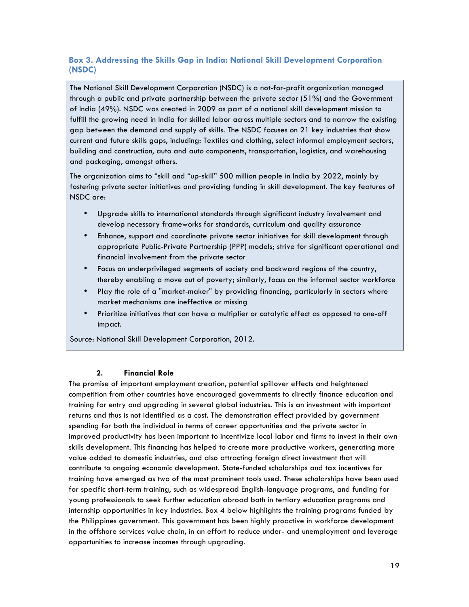# **Box 3. Addressing the Skills Gap in India: National Skill Development Corporation (NSDC)**

The National Skill Development Corporation (NSDC) is a not-for-profit organization managed through a public and private partnership between the private sector (51%) and the Government of India (49%). NSDC was created in 2009 as part of a national skill development mission to fulfill the growing need in India for skilled labor across multiple sectors and to narrow the existing gap between the demand and supply of skills. The NSDC focuses on 21 key industries that show current and future skills gaps, including: Textiles and clothing, select informal employment sectors, building and construction, auto and auto components, transportation, logistics, and warehousing and packaging, amongst others.

The organization aims to "skill and "up-skill" 500 million people in India by 2022, mainly by fostering private sector initiatives and providing funding in skill development. The key features of NSDC are:

- Upgrade skills to international standards through significant industry involvement and develop necessary frameworks for standards, curriculum and quality assurance
- Enhance, support and coordinate private sector initiatives for skill development through appropriate Public-Private Partnership (PPP) models; strive for significant operational and financial involvement from the private sector
- Focus on underprivileged segments of society and backward regions of the country, thereby enabling a move out of poverty; similarly, focus on the informal sector workforce
- Play the role of a "market-maker" by providing financing, particularly in sectors where market mechanisms are ineffective or missing
- Prioritize initiatives that can have a multiplier or catalytic effect as opposed to one-off impact.

Source: National Skill Development Corporation, 2012.

#### **2. Financial Role**

The promise of important employment creation, potential spillover effects and heightened competition from other countries have encouraged governments to directly finance education and training for entry and upgrading in several global industries. This is an investment with important returns and thus is not identified as a cost. The demonstration effect provided by government spending for both the individual in terms of career opportunities and the private sector in improved productivity has been important to incentivize local labor and firms to invest in their own skills development. This financing has helped to create more productive workers, generating more value added to domestic industries, and also attracting foreign direct investment that will contribute to ongoing economic development. State-funded scholarships and tax incentives for training have emerged as two of the most prominent tools used. These scholarships have been used for specific short-term training, such as widespread English-language programs, and funding for young professionals to seek further education abroad both in tertiary education programs and internship opportunities in key industries. Box 4 below highlights the training programs funded by the Philippines government. This government has been highly proactive in workforce development in the offshore services value chain, in an effort to reduce under- and unemployment and leverage opportunities to increase incomes through upgrading.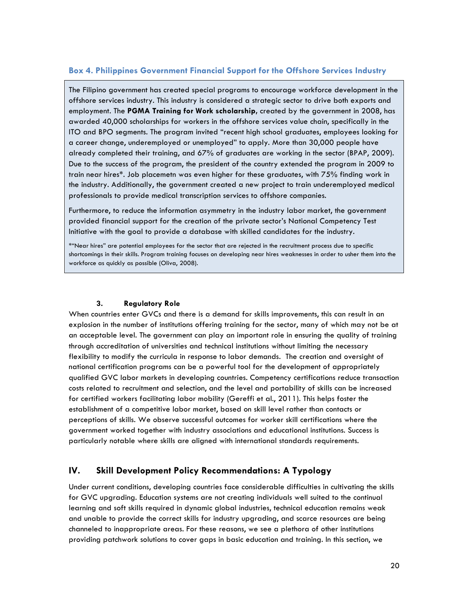# **Box 4. Philippines Government Financial Support for the Offshore Services Industry**

The Filipino government has created special programs to encourage workforce development in the offshore services industry. This industry is considered a strategic sector to drive both exports and employment. The **PGMA Training for Work scholarship,** created by the government in 2008, has awarded 40,000 scholarships for workers in the offshore services value chain, specifically in the ITO and BPO segments. The program invited "recent high school graduates, employees looking for a career change, underemployed or unemployed" to apply. More than 30,000 people have already completed their training, and 67% of graduates are working in the sector (BPAP, 2009). Due to the success of the program, the president of the country extended the program in 2009 to train near hires\*. Job placemetn was even higher for these graduates, with 75% finding work in the industry. Additionally, the government created a new project to train underemployed medical professionals to provide medical transcription services to offshore companies.

Furthermore, to reduce the information asymmetry in the industry labor market, the government provided financial support for the creation of the private sector's National Competency Test Initiative with the goal to provide a database with skilled candidates for the industry.

\*"Near hires" are potential employees for the sector that are rejected in the recruitment process due to specific shortcomings in their skills. Program training focuses on developing near hires weaknesses in order to usher them into the workforce as quickly as possible (Oliva, 2008).

#### **3. Regulatory Role**

When countries enter GVCs and there is a demand for skills improvements, this can result in an explosion in the number of institutions offering training for the sector, many of which may not be at an acceptable level. The government can play an important role in ensuring the quality of training through accreditation of universities and technical institutions without limiting the necessary flexibility to modify the curricula in response to labor demands. The creation and oversight of national certification programs can be a powerful tool for the development of appropriately qualified GVC labor markets in developing countries. Competency certifications reduce transaction costs related to recruitment and selection, and the level and portability of skills can be increased for certified workers facilitating labor mobility (Gereffi et al., 2011). This helps foster the establishment of a competitive labor market, based on skill level rather than contacts or perceptions of skills. We observe successful outcomes for worker skill certifications where the government worked together with industry associations and educational institutions. Success is particularly notable where skills are aligned with international standards requirements.

# **IV. Skill Development Policy Recommendations: A Typology**

Under current conditions, developing countries face considerable difficulties in cultivating the skills for GVC upgrading. Education systems are not creating individuals well suited to the continual learning and soft skills required in dynamic global industries, technical education remains weak and unable to provide the correct skills for industry upgrading, and scarce resources are being channeled to inappropriate areas. For these reasons, we see a plethora of other institutions providing patchwork solutions to cover gaps in basic education and training. In this section, we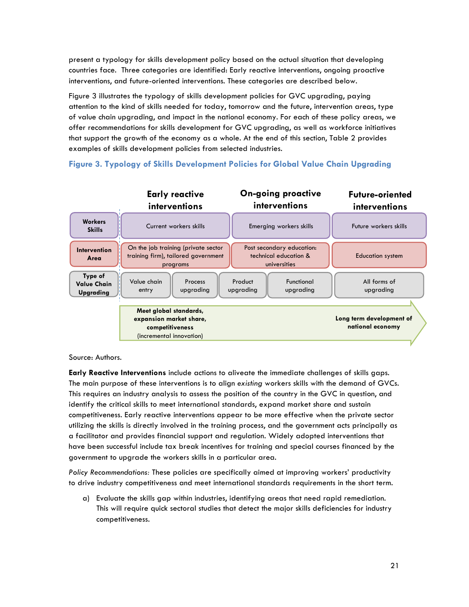present a typology for skills development policy based on the actual situation that developing countries face. Three categories are identified: Early reactive interventions, ongoing proactive interventions, and future-oriented interventions. These categories are described below.

Figure 3 illustrates the typology of skills development policies for GVC upgrading, paying attention to the kind of skills needed for today, tomorrow and the future, intervention areas, type of value chain upgrading, and impact in the national economy. For each of these policy areas, we offer recommendations for skills development for GVC upgrading, as well as workforce initiatives that support the growth of the economy as a whole. At the end of this section, Table 2 provides examples of skills development policies from selected industries.



# **Figure 3. Typology of Skills Development Policies for Global Value Chain Upgrading**

Source: Authors.

**Early Reactive Interventions** include actions to aliveate the immediate challenges of skills gaps. The main purpose of these interventions is to align *existing* workers skills with the demand of GVCs. This requires an industry analysis to assess the position of the country in the GVC in question, and identify the critical skills to meet international standards, expand market share and sustain competitiveness. Early reactive interventions appear to be more effective when the private sector utilizing the skills is directly involved in the training process, and the government acts principally as a facilitator and provides financial support and regulation. Widely adopted interventions that have been successful include tax break incentives for training and special courses financed by the government to upgrade the workers skills in a particular area.

*Policy Recommendations:* These policies are specifically aimed at improving workers' productivity to drive industry competitiveness and meet international standards requirements in the short term.

a) Evaluate the skills gap within industries, identifying areas that need rapid remediation. This will require quick sectoral studies that detect the major skills deficiencies for industry competitiveness.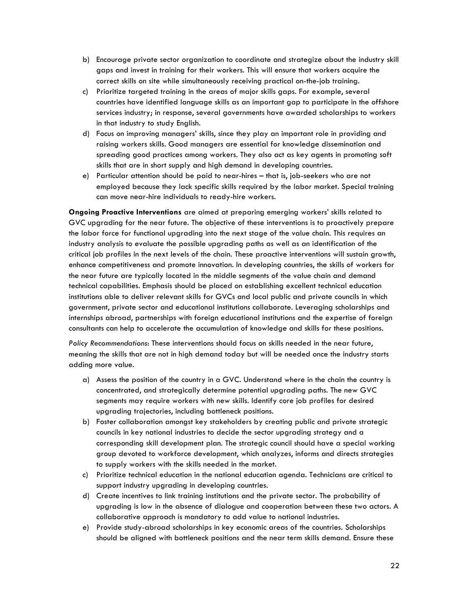- b) Encourage private sector organization to coordinate and strategize about the industry skill gaps and invest in training for their workers. This will ensure that workers acquire the correct skills on site while simultaneously receiving practical on-the-job training.
- c) Prioritize targeted training in the areas of major skills gaps. For example, several countries have identified language skills as an important gap to participate in the offshore services industry; in response, several governments have awarded scholarships to workers in that industry to study English.
- d) Focus on improving managers' skills, since they play an important role in providing and raising workers skills. Good managers are essential for knowledge dissemination and spreading good practices among workers. They also act as key agents in promoting soft skills that are in short supply and high demand in developing countries.
- e) Particular attention should be paid to near-hires that is, job-seekers who are not employed because they lack specific skills required by the labor market. Special training can move near-hire individuals to ready-hire workers.

**Ongoing Proactive Interventions** are aimed at preparing emerging workers' skills related to GVC upgrading for the near future. The objective of these interventions is to proactively prepare the labor force for functional upgrading into the next stage of the value chain. This requires an industry analysis to evaluate the possible upgrading paths as well as an identification of the critical job profiles in the next levels of the chain. These proactive interventions will sustain growth, enhance competitiveness and promote innovation. In developing countries, the skills of workers for the near future are typically located in the middle segments of the value chain and demand technical capabilities. Emphasis should be placed on establishing excellent technical education institutions able to deliver relevant skills for GVCs and local public and private councils in which government, private sector and educational institutions collaborate. Leveraging scholarships and internships abroad, partnerships with foreign educational institutions and the expertise of foreign consultants can help to accelerate the accumulation of knowledge and skills for these positions.

*Policy Recommendations*: These interventions should focus on skills needed in the near future, meaning the skills that are not in high demand today but will be needed once the industry starts adding more value.

- a) Assess the position of the country in a GVC. Understand where in the chain the country is concentrated, and strategically determine potential upgrading paths. The new GVC segments may require workers with new skills. Identify core job profiles for desired upgrading trajectories, including bottleneck positions.
- b) Foster collaboration amongst key stakeholders by creating public and private strategic councils in key national industries to decide the sector upgrading strategy and a corresponding skill development plan. The strategic council should have a special working group devoted to workforce development, which analyzes, informs and directs strategies to supply workers with the skills needed in the market.
- c) Prioritize technical education in the national education agenda. Technicians are critical to support industry upgrading in developing countries.
- d) Create incentives to link training institutions and the private sector. The probability of upgrading is low in the absence of dialogue and cooperation between these two actors. A collaborative approach is mandatory to add value to national industries.
- e) Provide study-abroad scholarships in key economic areas of the countries. Scholarships should be aligned with bottleneck positions and the near term skills demand. Ensure these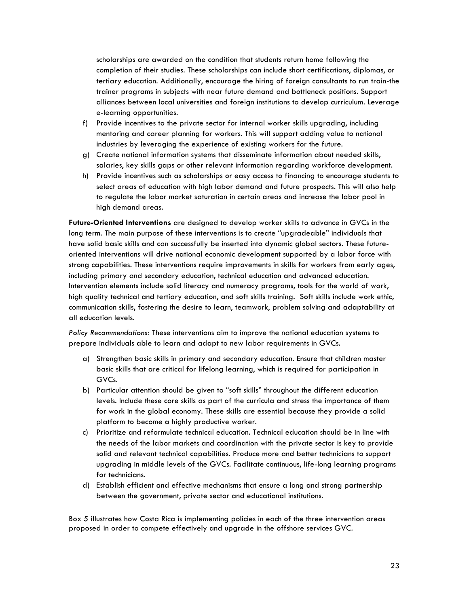scholarships are awarded on the condition that students return home following the completion of their studies. These scholarships can include short certifications, diplomas, or tertiary education. Additionally, encourage the hiring of foreign consultants to run train-the trainer programs in subjects with near future demand and bottleneck positions. Support alliances between local universities and foreign institutions to develop curriculum. Leverage e-learning opportunities.

- f) Provide incentives to the private sector for internal worker skills upgrading, including mentoring and career planning for workers. This will support adding value to national industries by leveraging the experience of existing workers for the future.
- g) Create national information systems that disseminate information about needed skills, salaries, key skills gaps or other relevant information regarding workforce development.
- h) Provide incentives such as scholarships or easy access to financing to encourage students to select areas of education with high labor demand and future prospects. This will also help to regulate the labor market saturation in certain areas and increase the labor pool in high demand areas.

**Future-Oriented Interventions** are designed to develop worker skills to advance in GVCs in the long term. The main purpose of these interventions is to create "upgradeable" individuals that have solid basic skills and can successfully be inserted into dynamic global sectors. These futureoriented interventions will drive national economic development supported by a labor force with strong capabilities. These interventions require improvements in skills for workers from early ages, including primary and secondary education, technical education and advanced education. Intervention elements include solid literacy and numeracy programs, tools for the world of work, high quality technical and tertiary education, and soft skills training. Soft skills include work ethic, communication skills, fostering the desire to learn, teamwork, problem solving and adaptability at all education levels.

*Policy Recommendations:* These interventions aim to improve the national education systems to prepare individuals able to learn and adapt to new labor requirements in GVCs.

- a) Strengthen basic skills in primary and secondary education. Ensure that children master basic skills that are critical for lifelong learning, which is required for participation in GVCs.
- b) Particular attention should be given to "soft skills" throughout the different education levels. Include these core skills as part of the curricula and stress the importance of them for work in the global economy. These skills are essential because they provide a solid platform to become a highly productive worker.
- c) Prioritize and reformulate technical education. Technical education should be in line with the needs of the labor markets and coordination with the private sector is key to provide solid and relevant technical capabilities. Produce more and better technicians to support upgrading in middle levels of the GVCs. Facilitate continuous, life-long learning programs for technicians.
- d) Establish efficient and effective mechanisms that ensure a long and strong partnership between the government, private sector and educational institutions.

Box 5 illustrates how Costa Rica is implementing policies in each of the three intervention areas proposed in order to compete effectively and upgrade in the offshore services GVC.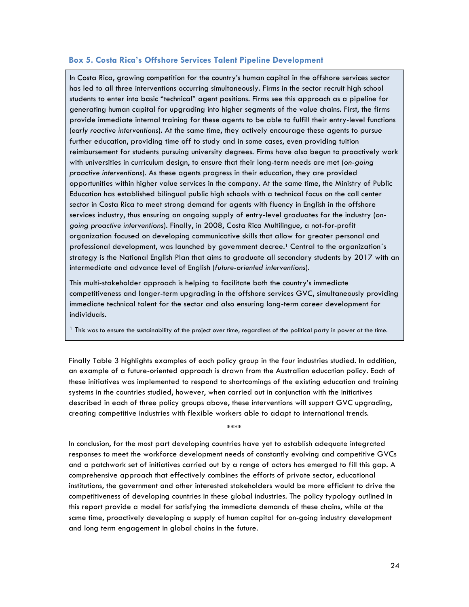## **Box 5. Costa Rica's Offshore Services Talent Pipeline Development**

In Costa Rica, growing competition for the country's human capital in the offshore services sector has led to all three interventions occurring simultaneously. Firms in the sector recruit high school students to enter into basic "technical" agent positions. Firms see this approach as a pipeline for generating human capital for upgrading into higher segments of the value chains. First, the firms provide immediate internal training for these agents to be able to fulfill their entry-level functions (*early reactive interventions*). At the same time, they actively encourage these agents to pursue further education, providing time off to study and in some cases, even providing tuition reimbursement for students pursuing university degrees. Firms have also begun to proactively work with universities in curriculum design, to ensure that their long-term needs are met (*on-going proactive interventions*). As these agents progress in their education, they are provided opportunities within higher value services in the company. At the same time, the Ministry of Public Education has established bilingual public high schools with a technical focus on the call center sector in Costa Rica to meet strong demand for agents with fluency in English in the offshore services industry, thus ensuring an ongoing supply of entry-level graduates for the industry (*ongoing proactive interventions*). Finally, in 2008, Costa Rica Multilingue, a not-for-profit organization focused on developing communicative skills that allow for greater personal and professional development, was launched by government decree.1 Central to the organization´s strategy is the National English Plan that aims to graduate all secondary students by 2017 with an intermediate and advance level of English (*future-oriented interventions*).

This multi-stakeholder approach is helping to facilitate both the country's immediate competitiveness and longer-term upgrading in the offshore services GVC, simultaneously providing immediate technical talent for the sector and also ensuring long-term career development for individuals.

 $1$  This was to ensure the sustainability of the project over time, regardless of the political party in power at the time.

Finally Table 3 highlights examples of each policy group in the four industries studied. In addition, an example of a future-oriented approach is drawn from the Australian education policy. Each of these initiatives was implemented to respond to shortcomings of the existing education and training systems in the countries studied, however, when carried out in conjunction with the initiatives described in each of three policy groups above, these interventions will support GVC upgrading, creating competitive industries with flexible workers able to adapt to international trends.

\*\*\*\*

In conclusion, for the most part developing countries have yet to establish adequate integrated responses to meet the workforce development needs of constantly evolving and competitive GVCs and a patchwork set of initiatives carried out by a range of actors has emerged to fill this gap. A comprehensive approach that effectively combines the efforts of private sector, educational institutions, the government and other interested stakeholders would be more efficient to drive the competitiveness of developing countries in these global industries. The policy typology outlined in this report provide a model for satisfying the immediate demands of these chains, while at the same time, proactively developing a supply of human capital for on-going industry development and long term engagement in global chains in the future.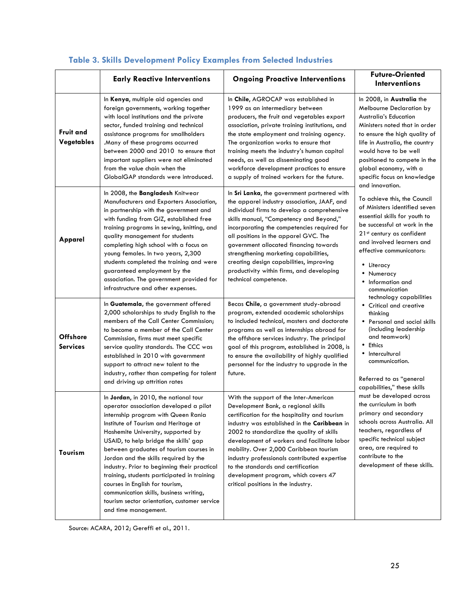|                                    | <b>Early Reactive Interventions</b>                                                                                                                                                                                                                                                                                                                                                                                                                                                                                                                                                    | <b>Ongoing Proactive Interventions</b>                                                                                                                                                                                                                                                                                                                                                                                                                                                    | Future-Oriented<br><b>Interventions</b>                                                                                                                                                                                                                                                                     |  |
|------------------------------------|----------------------------------------------------------------------------------------------------------------------------------------------------------------------------------------------------------------------------------------------------------------------------------------------------------------------------------------------------------------------------------------------------------------------------------------------------------------------------------------------------------------------------------------------------------------------------------------|-------------------------------------------------------------------------------------------------------------------------------------------------------------------------------------------------------------------------------------------------------------------------------------------------------------------------------------------------------------------------------------------------------------------------------------------------------------------------------------------|-------------------------------------------------------------------------------------------------------------------------------------------------------------------------------------------------------------------------------------------------------------------------------------------------------------|--|
| <b>Fruit and</b><br>Vegetables     | In Kenya, multiple aid agencies and<br>foreign governments, working together<br>with local institutions and the private<br>sector, funded training and technical<br>assistance programs for smallholders<br>.Many of these programs occurred<br>between 2000 and 2010 to ensure that<br>important suppliers were not eliminated<br>from the value chain when the<br>GlobalGAP standards were introduced.                                                                                                                                                                               | In Chile, AGROCAP was established in<br>1999 as an intermediary between<br>producers, the fruit and vegetables export<br>association, private training institutions, and<br>the state employment and training agency.<br>The organization works to ensure that<br>training meets the industry's human capital<br>needs, as well as disseminating good<br>workforce development practices to ensure<br>a supply of trained workers for the future.                                         | In 2008, in Australia the<br>Melbourne Declaration by<br><b>Australia's Education</b><br>Ministers noted that in order<br>to ensure the high quality of<br>life in Australia, the country<br>would have to be well<br>positioned to compete in the<br>global economy, with a<br>specific focus on knowledge |  |
| Apparel                            | In 2008, the Bangladesh Knitwear<br>Manufacturers and Exporters Association,<br>in partnership with the government and<br>with funding from GIZ, established free<br>training programs in sewing, knitting, and<br>quality management for students<br>completing high school with a focus on<br>young females. In two years, 2,300<br>students completed the training and were<br>guaranteed employment by the<br>association. The government provided for<br>infrastructure and other expenses.                                                                                       | In Sri Lanka, the government partnered with<br>the apparel industry association, JAAF, and<br>individual firms to develop a comprehensive<br>skills manual, "Competency and Beyond,"<br>incorporating the competencies required for<br>all positions in the apparel GVC. The<br>government allocated financing towards<br>strengthening marketing capabilities,<br>creating design capabilities, improving<br>productivity within firms, and developing<br>technical competence.          | and innovation.<br>To achieve this, the Council<br>of Ministers identified seven<br>essential skills for youth to<br>be successful at work in the<br>21st century as confident<br>and involved learners and<br>effective communicators:<br>• Literacy<br>Numeracy<br>Information and<br>communication       |  |
| <b>Offshore</b><br><b>Services</b> | In Guatemala, the government offered<br>2,000 scholarships to study English to the<br>members of the Call Center Commission;<br>to become a member of the Call Center<br>Commission, firms must meet specific<br>service quality standards. The CCC was<br>established in 2010 with government<br>support to attract new talent to the<br>industry, rather than competing for talent<br>and driving up attrition rates                                                                                                                                                                 | Becas Chile, a government study-abroad<br>program, extended academic scholarships<br>to included technical, masters and doctorate<br>programs as well as internships abroad for<br>the offshore services industry. The principal<br>goal of this program, established in 2008, is<br>to ensure the availability of highly qualified<br>personnel for the industry to upgrade in the<br>future.                                                                                            | technology capabilities<br>• Critical and creative<br>thinking<br>• Personal and social skills<br>(including leadership)<br>and teamwork)<br><b>Ethics</b><br>Intercultural<br>communication.<br>Referred to as "general<br>capabilities," these skills                                                     |  |
| Tourism                            | In Jordan, in 2010, the national tour<br>operator association developed a pilot<br>internship program with Queen Rania<br>Institute of Tourism and Heritage at<br>Hashemite University, supported by<br>USAID, to help bridge the skills' gap<br>between graduates of tourism courses in<br>Jordan and the skills required by the<br>industry. Prior to beginning their practical<br>training, students participated in training<br>courses in English for tourism,<br>communication skills, business writing,<br>tourism sector orientation, customer service<br>and time management. | With the support of the Inter-American<br>Development Bank, a regional skills<br>certification for the hospitality and tourism<br>industry was established in the Caribbean in<br>2002 to standardize the quality of skills<br>development of workers and facilitate labor<br>mobility. Over 2,000 Caribbean tourism<br>industry professionals contributed expertise<br>to the standards and certification<br>development program, which covers 47<br>critical positions in the industry. | must be developed across<br>the curriculum in both<br>primary and secondary<br>schools across Australia. All<br>teachers, regardless of<br>specific technical subject<br>area, are required to<br>contribute to the<br>development of these skills.                                                         |  |

# **Table 3. Skills Development Policy Examples from Selected Industries**

Source: ACARA, 2012; Gereffi et al., 2011.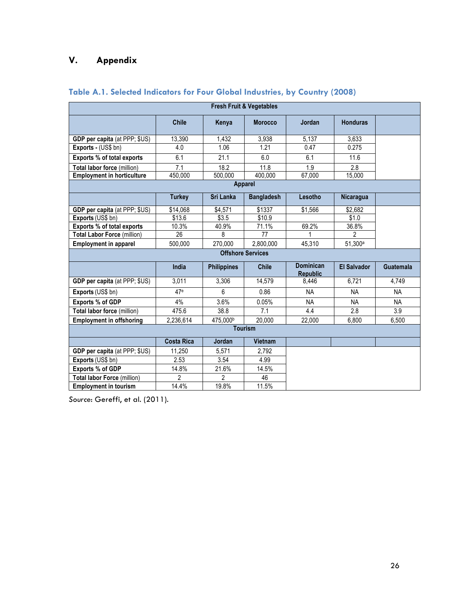# **V. Appendix**

| <b>Fresh Fruit &amp; Vegetables</b>  |                   |                    |                          |                                     |                    |                  |  |  |
|--------------------------------------|-------------------|--------------------|--------------------------|-------------------------------------|--------------------|------------------|--|--|
|                                      | <b>Chile</b>      | Kenya              | <b>Morocco</b>           | Jordan                              | <b>Honduras</b>    |                  |  |  |
| GDP per capita (at PPP; \$US)        | 13,390            | 1,432              | 3,938                    | 5,137                               | 3,633              |                  |  |  |
| Exports - (US\$ bn)                  | 4.0               | 1.06               | 1.21                     | 0.47                                | 0.275              |                  |  |  |
| <b>Exports % of total exports</b>    | 6.1               | 21.1               | 6.0                      | 6.1                                 | 11.6               |                  |  |  |
| Total labor force (million)          | 7.1               | 18.2               | 11.8                     | 1.9                                 | 2.8                |                  |  |  |
| <b>Employment in horticulture</b>    | 450,000           | 500,000            | 400,000                  | 67,000                              | 15,000             |                  |  |  |
|                                      |                   |                    | <b>Apparel</b>           |                                     |                    |                  |  |  |
|                                      | <b>Turkey</b>     | Sri Lanka          | <b>Bangladesh</b>        | Lesotho                             | Nicaragua          |                  |  |  |
| GDP per capita (at PPP; \$US)        | \$14,068          | \$4,571            | \$1337                   | \$1,566                             | \$2,682            |                  |  |  |
| Exports (US\$ bn)                    | \$13.6            | \$3.5              | \$10.9                   |                                     | \$1.0              |                  |  |  |
| Exports % of total exports           | 10.3%             | 40.9%              | 71.1%                    | 69.2%                               | 36.8%              |                  |  |  |
| <b>Total Labor Force (million)</b>   | 26                | 8                  | 77                       | 1                                   | $\overline{2}$     |                  |  |  |
| <b>Employment in apparel</b>         | 500,000           | 270,000            | 2.800.000                | 45,310                              | 51,300a            |                  |  |  |
|                                      |                   |                    | <b>Offshore Services</b> |                                     |                    |                  |  |  |
|                                      | India             | <b>Philippines</b> | <b>Chile</b>             | <b>Dominican</b><br><b>Republic</b> | <b>El Salvador</b> | <b>Guatemala</b> |  |  |
| GDP per capita (at PPP; \$US)        | 3,011             | 3,306              | 14,579                   | 8,446                               | 6,721              | 4.749            |  |  |
| Exports (US\$ bn)                    | 47 <sup>e</sup>   | 6                  | 0.86                     | <b>NA</b>                           | <b>NA</b>          | <b>NA</b>        |  |  |
| <b>Exports % of GDP</b>              | 4%                | 3.6%               | 0.05%                    | <b>NA</b>                           | <b>NA</b>          | <b>NA</b>        |  |  |
| Total labor force (million)          | 475.6             | 38.8               | 7.1                      | 4.4                                 | 2.8                | 3.9              |  |  |
| <b>Employment in offshoring</b>      | 2,236,614         | 475,000b           | 20,000                   | 22,000                              | 6,800              | 6,500            |  |  |
|                                      |                   |                    | <b>Tourism</b>           |                                     |                    |                  |  |  |
|                                      | <b>Costa Rica</b> | Jordan             | <b>Vietnam</b>           |                                     |                    |                  |  |  |
| <b>GDP per capita (at PPP; \$US)</b> | 11.250            | 5.571              | 2,792                    |                                     |                    |                  |  |  |
| Exports (US\$ bn)                    | 2.53              | 3.54               | 4.99                     |                                     |                    |                  |  |  |
| Exports % of GDP                     | 14.8%             | 21.6%              | 14.5%                    |                                     |                    |                  |  |  |
| Total labor Force (million)          | $\overline{2}$    | $\overline{2}$     | 46                       |                                     |                    |                  |  |  |
| <b>Employment in tourism</b>         | 14.4%             | 19.8%              | 11.5%                    |                                     |                    |                  |  |  |

# **Table A.1. Selected Indicators for Four Global Industries, by Country (2008)**

*Source*: Gereffi, et al. (2011).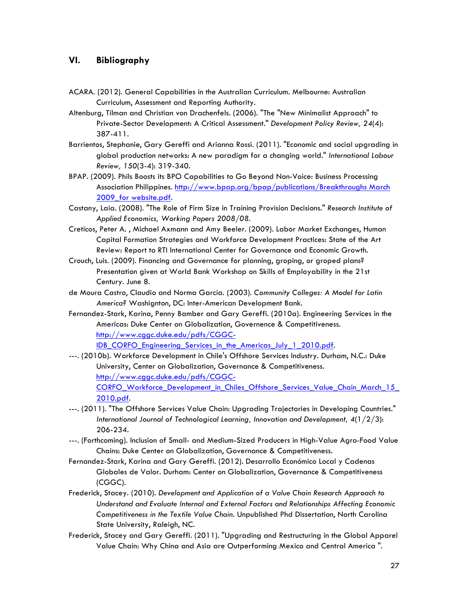# **VI. Bibliography**

- ACARA. (2012). General Capabilities in the Australian Curriculum. Melbourne: Australian Curriculum, Assessment and Reporting Authority.
- Altenburg, Tilman and Christian von Drachenfels. (2006). "The "New Minimalist Approach" to Private-Sector Development: A Critical Assessment." *Development Policy Review, 24*(4): 387-411.
- Barrientos, Stephanie, Gary Gereffi and Arianna Rossi. (2011). "Economic and social upgrading in global production networks: A new paradigm for a changing world." *International Labour Review, 150*(3-4): 319-340.
- BPAP. (2009). Phils Boosts its BPO Capabilities to Go Beyond Non-Voice: Business Processing Association Philippines. http://www.bpap.org/bpap/publications/Breakthroughs March 2009 for website.pdf.
- Castany, Laia. (2008). "The Role of Firm Size in Training Provision Decisions." *Research Institute of Applied Economics, Working Papers 2008/08*.
- Creticos, Peter A. , Michael Axmann and Amy Beeler. (2009). Labor Market Exchanges, Human Capital Formation Strategies and Workforce Development Practices: State of the Art Review: Report to RTI International Center for Governance and Economic Growth.
- Crouch, Luis. (2009). Financing and Governance for planning, groping, or groped plans? Presentation given at World Bank Workshop on Skills of Employability in the 21st Century. June 8.
- de Moura Castro, Claudio and Norma García. (2003). *Community Colleges: A Model for Latin America?* Washignton, DC: Inter-American Development Bank.
- Fernandez-Stark, Karina, Penny Bamber and Gary Gereffi. (2010a). Engineering Services in the Americas: Duke Center on Globalization, Governence & Competitiveness. http://www.cggc.duke.edu/pdfs/CGGC-IDB\_CORFO\_Engineering\_Services\_in\_the\_Americas\_July\_1\_2010.pdf.
- ---. (2010b). Workforce Development in Chile's Offshore Services Industry. Durham, N.C.: Duke University, Center on Globalization, Governance & Competitiveness. http://www.cggc.duke.edu/pdfs/CGGC-CORFO\_Workforce\_Development\_in\_Chiles\_Offshore\_Services\_Value\_Chain\_March\_15\_ 2010.pdf.
- ---. (2011). "The Offshore Services Value Chain: Upgrading Trajectories in Developing Countries." *International Journal of Technological Learning, Innovation and Development, 4*(1/2/3): 206-234.
- ---. (Forthcoming). Inclusion of Small- and Medium-Sized Producers in High-Value Agro-Food Value Chains: Duke Center on Globalization, Governance & Competitiveness.
- Fernandez-Stark, Karina and Gary Gereffi. (2012). Desarrollo Económico Local y Cadenas Globales de Valor. Durham: Center on Globalization, Governance & Competitiveness (CGGC).
- Frederick, Stacey. (2010). *Development and Application of a Value Chain Research Approach to Understand and Evaluate Internal and External Factors and Relationships Affecting Economic Competitiveness in the Textile Value Chain.* Unpublished Phd Dissertation, North Carolina State University, Raleigh, NC.
- Frederick, Stacey and Gary Gereffi. (2011). "Upgrading and Restructuring in the Global Apparel Value Chain: Why China and Asia are Outperforming Mexico and Central America ".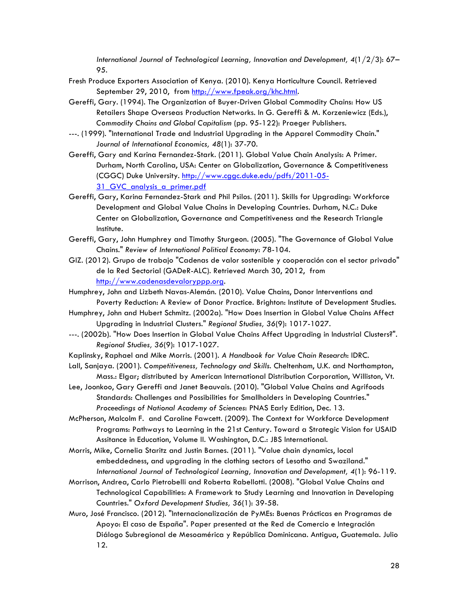*International Journal of Technological Learning, Innovation and Development, 4*(1/2/3): 67– 95.

- Fresh Produce Exporters Association of Kenya. (2010). Kenya Horticulture Council. Retrieved September 29, 2010, from http://www.fpeak.org/khc.html.
- Gereffi, Gary. (1994). The Organization of Buyer-Driven Global Commodity Chains: How US Retailers Shape Overseas Production Networks. In G. Gereffi & M. Korzeniewicz (Eds.), *Commodity Chains and Global Capitalism* (pp. 95-122): Praeger Publishers.
- ---. (1999). "International Trade and Industrial Upgrading in the Apparel Commodity Chain." *Journal of International Economics, 48*(1): 37-70.
- Gereffi, Gary and Karina Fernandez-Stark. (2011). Global Value Chain Analysis: A Primer. Durham, North Carolina, USA: Center on Globalization, Governance & Competitiveness (CGGC) Duke University. http://www.cggc.duke.edu/pdfs/2011-05- 31 GVC analysis a primer.pdf
- Gereffi, Gary, Karina Fernandez-Stark and Phil Psilos. (2011). Skills for Upgrading: Workforce Development and Global Value Chains in Developing Countries. Durham, N.C.: Duke Center on Globalization, Governance and Competitiveness and the Research Triangle Institute.
- Gereffi, Gary, John Humphrey and Timothy Sturgeon. (2005). "The Governance of Global Value Chains." *Review of International Political Economy*: 78-104.
- GIZ. (2012). Grupo de trabajo "Cadenas de valor sostenible y cooperación con el sector privado" de la Red Sectorial (GADeR-ALC). Retrieved March 30, 2012, from http://www.cadenasdevaloryppp.org.
- Humphrey, John and Lizbeth Navas-Alemán. (2010). Value Chains, Donor Interventions and Poverty Reduction: A Review of Donor Practice. Brighton: Institute of Development Studies.
- Humphrey, John and Hubert Schmitz. (2002a). "How Does Insertion in Global Value Chains Affect Upgrading in Industrial Clusters." *Regional Studies, 36*(9): 1017-1027.
- ---. (2002b). "How Does Insertion in Global Value Chains Affect Upgrading in Industrial Clusters?". *Regional Studies, 36*(9): 1017-1027.
- Kaplinsky, Raphael and Mike Morris. (2001). *A Handbook for Value Chain Research*: IDRC.
- Lall, Sanjaya. (2001). *Competitiveness, Technology and Skills*. Cheltenham, U.K. and Northampton, Mass.: Elgar; distributed by American International Distribution Corporation, Williston, Vt.
- Lee, Joonkoo, Gary Gereffi and Janet Beauvais. (2010). "Global Value Chains and Agrifoods Standards: Challenges and Possibilities for Smallholders in Developing Countries." *Proceedings of National Academy of Sciences*: PNAS Early Edition, Dec. 13.
- McPherson, Malcolm F. and Caroline Fawcett. (2009). The Context for Workforce Development Programs: Pathways to Learning in the 21st Century. Toward a Strategic Vision for USAID Assitance in Education, Volume II. Washington, D.C.: JBS International.
- Morris, Mike, Cornelia Staritz and Justin Barnes. (2011). "Value chain dynamics, local embeddedness, and upgrading in the clothing sectors of Lesotho and Swaziland." *International Journal of Technological Learning, Innovation and Development, 4*(1): 96-119.
- Morrison, Andrea, Carlo Pietrobelli and Roberta Rabellotti. (2008). "Global Value Chains and Technological Capabilities: A Framework to Study Learning and Innovation in Developing Countries." *Oxford Development Studies, 36*(1): 39-58.
- Muro, José Francisco. (2012). "Internacionalización de PyMEs: Buenas Prácticas en Programas de Apoyo: El caso de España". Paper presented at the Red de Comercio e Integración Diálogo Subregional de Mesoamérica y República Dominicana. Antigua, Guatemala. Julio 12.